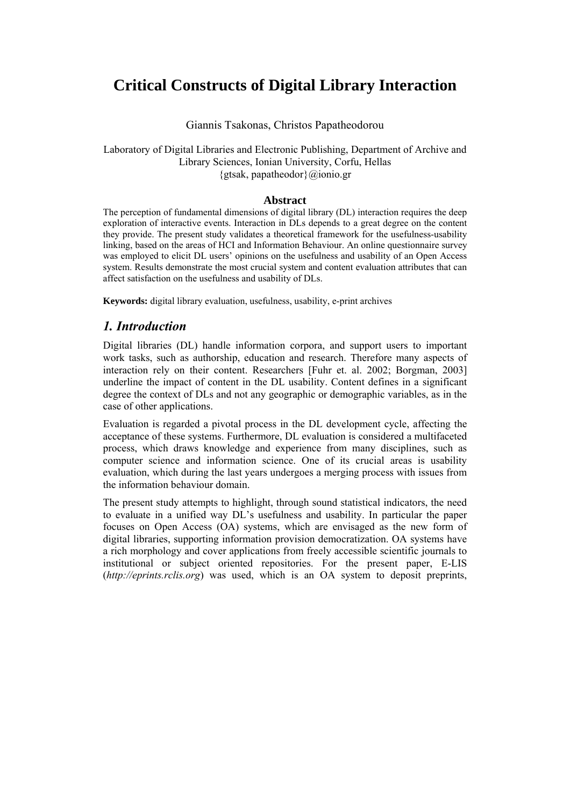# **Critical Constructs of Digital Library Interaction**

#### Giannis Tsakonas, Christos Papatheodorou

#### Laboratory of Digital Libraries and Electronic Publishing, Department of Archive and Library Sciences, Ionian University, Corfu, Hellas {gtsak, papatheodor}@ionio.gr

#### **Abstract**

The perception of fundamental dimensions of digital library (DL) interaction requires the deep exploration of interactive events. Interaction in DLs depends to a great degree on the content they provide. The present study validates a theoretical framework for the usefulness-usability linking, based on the areas of HCI and Information Behaviour. An online questionnaire survey was employed to elicit DL users' opinions on the usefulness and usability of an Open Access system. Results demonstrate the most crucial system and content evaluation attributes that can affect satisfaction on the usefulness and usability of DLs.

**Keywords:** digital library evaluation, usefulness, usability, e-print archives

# *1. Introduction*

Digital libraries (DL) handle information corpora, and support users to important work tasks, such as authorship, education and research. Therefore many aspects of interaction rely on their content. Researchers [Fuhr et. al. 2002; Borgman, 2003] underline the impact of content in the DL usability. Content defines in a significant degree the context of DLs and not any geographic or demographic variables, as in the case of other applications.

Evaluation is regarded a pivotal process in the DL development cycle, affecting the acceptance of these systems. Furthermore, DL evaluation is considered a multifaceted process, which draws knowledge and experience from many disciplines, such as computer science and information science. One of its crucial areas is usability evaluation, which during the last years undergoes a merging process with issues from the information behaviour domain.

The present study attempts to highlight, through sound statistical indicators, the need to evaluate in a unified way DL's usefulness and usability. In particular the paper focuses on Open Access (OA) systems, which are envisaged as the new form of digital libraries, supporting information provision democratization. ΟA systems have a rich morphology and cover applications from freely accessible scientific journals to institutional or subject oriented repositories. For the present paper, E-LIS (*http://eprints.rclis.org*) was used, which is an OA system to deposit preprints,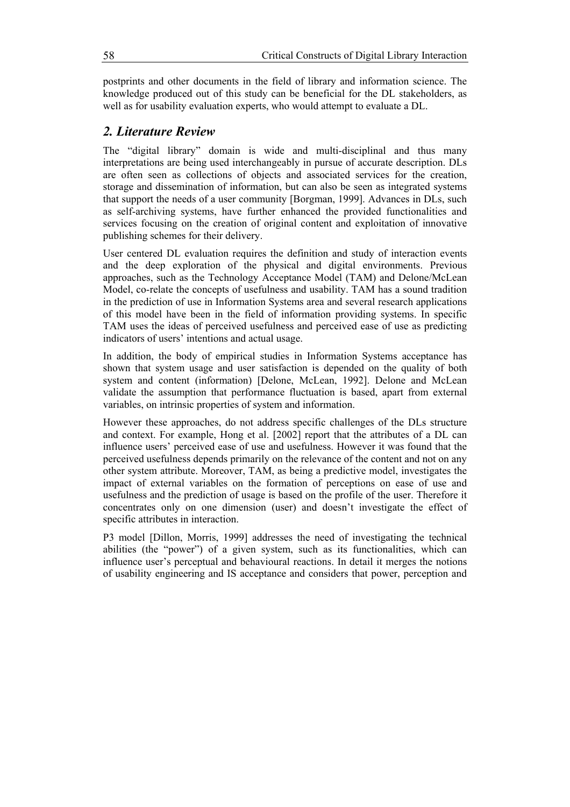postprints and other documents in the field of library and information science. The knowledge produced out of this study can be beneficial for the DL stakeholders, as well as for usability evaluation experts, who would attempt to evaluate a DL.

## *2. Literature Review*

The "digital library" domain is wide and multi-disciplinal and thus many interpretations are being used interchangeably in pursue of accurate description. DLs are often seen as collections of objects and associated services for the creation, storage and dissemination of information, but can also be seen as integrated systems that support the needs of a user community [Borgman, 1999]. Advances in DLs, such as self-archiving systems, have further enhanced the provided functionalities and services focusing on the creation of original content and exploitation of innovative publishing schemes for their delivery.

User centered DL evaluation requires the definition and study of interaction events and the deep exploration of the physical and digital environments. Previous approaches, such as the Technology Acceptance Model (TAM) and Delone/McLean Model, co-relate the concepts of usefulness and usability. TAM has a sound tradition in the prediction of use in Information Systems area and several research applications of this model have been in the field of information providing systems. In specific TAM uses the ideas of perceived usefulness and perceived ease of use as predicting indicators of users' intentions and actual usage.

In addition, the body of empirical studies in Information Systems acceptance has shown that system usage and user satisfaction is depended on the quality of both system and content (information) [Delone, McLean, 1992]. Delone and McLean validate the assumption that performance fluctuation is based, apart from external variables, on intrinsic properties of system and information.

However these approaches, do not address specific challenges of the DLs structure and context. For example, Hong et al. [2002] report that the attributes of a DL can influence users' perceived ease of use and usefulness. However it was found that the perceived usefulness depends primarily on the relevance of the content and not on any other system attribute. Moreover, TAM, as being a predictive model, investigates the impact of external variables on the formation of perceptions on ease of use and usefulness and the prediction of usage is based on the profile of the user. Therefore it concentrates only on one dimension (user) and doesn't investigate the effect of specific attributes in interaction.

P3 model [Dillon, Morris, 1999] addresses the need of investigating the technical abilities (the "power") of a given system, such as its functionalities, which can influence user's perceptual and behavioural reactions. In detail it merges the notions of usability engineering and IS acceptance and considers that power, perception and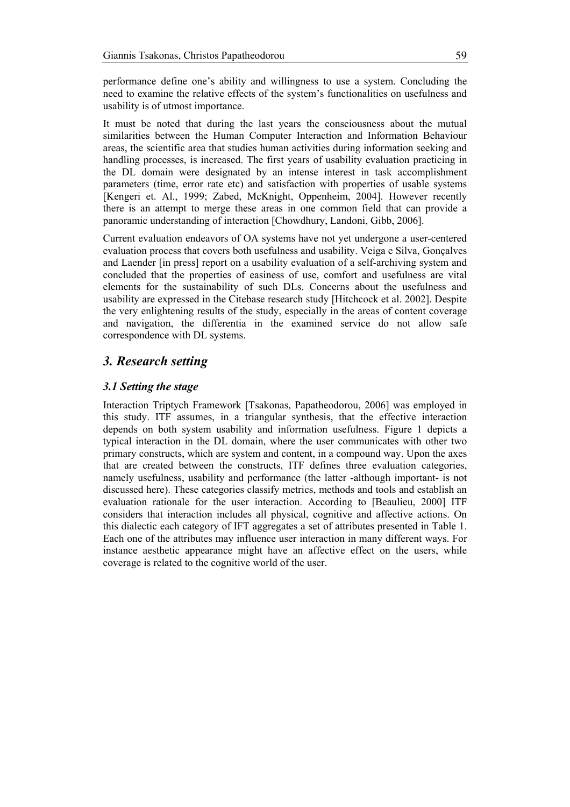performance define one's ability and willingness to use a system. Concluding the need to examine the relative effects of the system's functionalities on usefulness and usability is of utmost importance.

It must be noted that during the last years the consciousness about the mutual similarities between the Human Computer Interaction and Information Behaviour areas, the scientific area that studies human activities during information seeking and handling processes, is increased. The first years of usability evaluation practicing in the DL domain were designated by an intense interest in task accomplishment parameters (time, error rate etc) and satisfaction with properties of usable systems [Kengeri et. Al., 1999; Zabed, McKnight, Oppenheim, 2004]. However recently there is an attempt to merge these areas in one common field that can provide a panoramic understanding of interaction [Chowdhury, Landoni, Gibb, 2006].

Current evaluation endeavors of OA systems have not yet undergone a user-centered evaluation process that covers both usefulness and usability. Veiga e Silva, Gonçalves and Laender [in press] report on a usability evaluation of a self-archiving system and concluded that the properties of easiness of use, comfort and usefulness are vital elements for the sustainability of such DLs. Concerns about the usefulness and usability are expressed in the Citebase research study [Hitchcock et al. 2002]. Despite the very enlightening results of the study, especially in the areas of content coverage and navigation, the differentia in the examined service do not allow safe correspondence with DL systems.

# *3. Research setting*

#### *3.1 Setting the stage*

Interaction Triptych Framework [Tsakonas, Papatheodorou, 2006] was employed in this study. ITF assumes, in a triangular synthesis, that the effective interaction depends on both system usability and information usefulness. Figure 1 depicts a typical interaction in the DL domain, where the user communicates with other two primary constructs, which are system and content, in a compound way. Upon the axes that are created between the constructs, ITF defines three evaluation categories, namely usefulness, usability and performance (the latter -although important- is not discussed here). These categories classify metrics, methods and tools and establish an evaluation rationale for the user interaction. According to [Beaulieu, 2000] ITF considers that interaction includes all physical, cognitive and affective actions. On this dialectic each category of IFT aggregates a set of attributes presented in Table 1. Each one of the attributes may influence user interaction in many different ways. For instance aesthetic appearance might have an affective effect on the users, while coverage is related to the cognitive world of the user.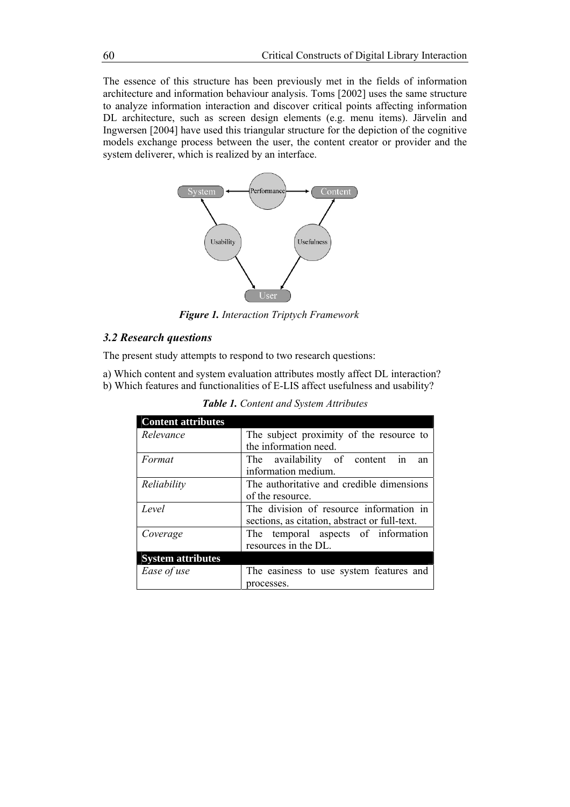The essence of this structure has been previously met in the fields of information architecture and information behaviour analysis. Toms [2002] uses the same structure to analyze information interaction and discover critical points affecting information DL architecture, such as screen design elements (e.g. menu items). Järvelin and Ingwersen [2004] have used this triangular structure for the depiction of the cognitive models exchange process between the user, the content creator or provider and the system deliverer, which is realized by an interface.



*Figure 1. Interaction Triptych Framework*

## *3.2 Research questions*

The present study attempts to respond to two research questions:

a) Which content and system evaluation attributes mostly affect DL interaction? b) Which features and functionalities of E-LIS affect usefulness and usability?

| <b>Content attributes</b> |                                               |  |  |  |  |  |  |  |  |
|---------------------------|-----------------------------------------------|--|--|--|--|--|--|--|--|
| Relevance                 | The subject proximity of the resource to      |  |  |  |  |  |  |  |  |
|                           | the information need.                         |  |  |  |  |  |  |  |  |
| Format                    | The availability of content in<br>an          |  |  |  |  |  |  |  |  |
|                           | information medium.                           |  |  |  |  |  |  |  |  |
| Reliability               | The authoritative and credible dimensions     |  |  |  |  |  |  |  |  |
|                           | of the resource.                              |  |  |  |  |  |  |  |  |
| Level                     | The division of resource information in       |  |  |  |  |  |  |  |  |
|                           | sections, as citation, abstract or full-text. |  |  |  |  |  |  |  |  |
| Coverage                  | The temporal aspects of information           |  |  |  |  |  |  |  |  |
|                           | resources in the DL.                          |  |  |  |  |  |  |  |  |
| <b>System attributes</b>  |                                               |  |  |  |  |  |  |  |  |
| Ease of use               | The easiness to use system features and       |  |  |  |  |  |  |  |  |
|                           | processes.                                    |  |  |  |  |  |  |  |  |

*Table 1. Content and System Attributes*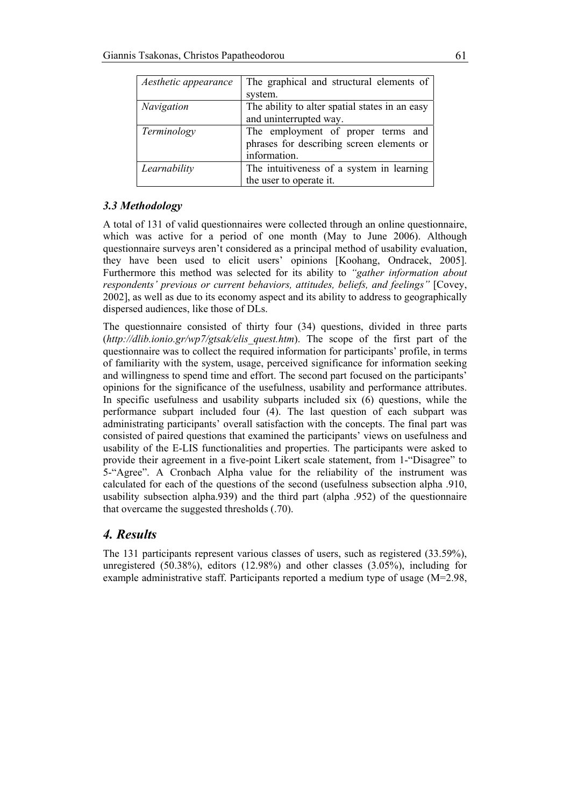| Aesthetic appearance | The graphical and structural elements of       |  |  |  |  |  |
|----------------------|------------------------------------------------|--|--|--|--|--|
|                      | system.                                        |  |  |  |  |  |
| <b>Navigation</b>    | The ability to alter spatial states in an easy |  |  |  |  |  |
|                      | and uninterrupted way.                         |  |  |  |  |  |
| Terminology          | The employment of proper terms and             |  |  |  |  |  |
|                      | phrases for describing screen elements or      |  |  |  |  |  |
|                      | information.                                   |  |  |  |  |  |
| Learnability         | The intuitiveness of a system in learning      |  |  |  |  |  |
|                      | the user to operate it.                        |  |  |  |  |  |

## *3.3 Methodology*

A total of 131 of valid questionnaires were collected through an online questionnaire, which was active for a period of one month (May to June 2006). Although questionnaire surveys aren't considered as a principal method of usability evaluation, they have been used to elicit users' opinions [Koohang, Ondracek, 2005]. Furthermore this method was selected for its ability to *"gather information about respondents' previous or current behaviors, attitudes, beliefs, and feelings"* [Covey, 2002], as well as due to its economy aspect and its ability to address to geographically dispersed audiences, like those of DLs.

The questionnaire consisted of thirty four (34) questions, divided in three parts (*http://dlib.ionio.gr/wp7/gtsak/elis\_quest.htm*). The scope of the first part of the questionnaire was to collect the required information for participants' profile, in terms of familiarity with the system, usage, perceived significance for information seeking and willingness to spend time and effort. The second part focused on the participants' opinions for the significance of the usefulness, usability and performance attributes. In specific usefulness and usability subparts included six (6) questions, while the performance subpart included four (4). The last question of each subpart was administrating participants' overall satisfaction with the concepts. The final part was consisted of paired questions that examined the participants' views on usefulness and usability of the E-LIS functionalities and properties. The participants were asked to provide their agreement in a five-point Likert scale statement, from 1-"Disagree" to 5-"Agree". A Cronbach Alpha value for the reliability of the instrument was calculated for each of the questions of the second (usefulness subsection alpha .910, usability subsection alpha.939) and the third part (alpha .952) of the questionnaire that overcame the suggested thresholds (.70).

# *4. Results*

The 131 participants represent various classes of users, such as registered (33.59%), unregistered (50.38%), editors (12.98%) and other classes (3.05%), including for example administrative staff. Participants reported a medium type of usage (M=2.98,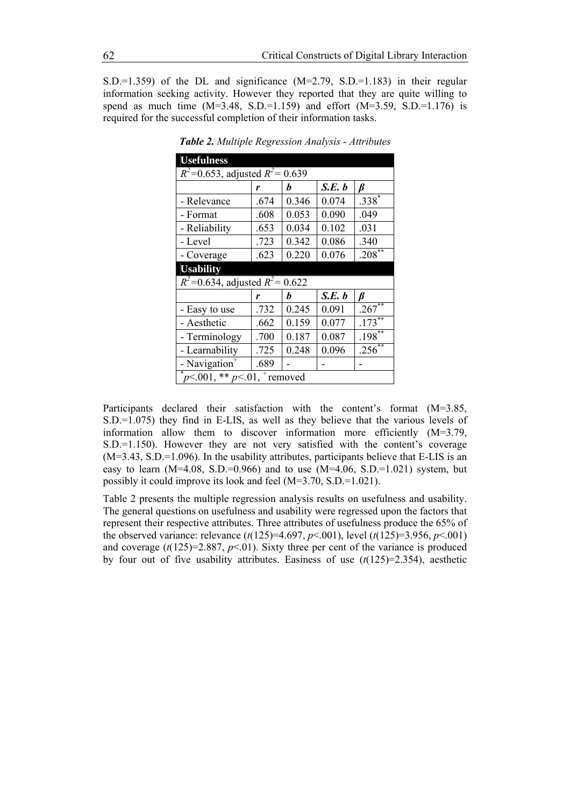S.D.=1.359) of the DL and significance  $(M=2.79, S.D.=1.183)$  in their regular information seeking activity. However they reported that they are quite willing to spend as much time  $(M=3.48, S.D.=1.159)$  and effort  $(M=3.59, S.D.=1.176)$  is required for the successful completion of their information tasks.

| <b>Usefulness</b>                    |      |             |        |                      |  |  |  |  |
|--------------------------------------|------|-------------|--------|----------------------|--|--|--|--|
| $R^2$ =0.653, adjusted $R^2$ = 0.639 |      |             |        |                      |  |  |  |  |
|                                      | r    | S.E. b<br>h |        |                      |  |  |  |  |
| - Relevance                          | .674 | 0.346       | 0.074  | $.338*$              |  |  |  |  |
| - Format                             | .608 | 0.053       | 0.090  | .049                 |  |  |  |  |
| - Reliability                        | .653 | 0.034       | 0.102  | .031                 |  |  |  |  |
| - Level                              | .723 | 0.342       | 0.086  | .340                 |  |  |  |  |
| - Coverage                           | .623 | 0.220       | 0.076  | $.208$ <sup>**</sup> |  |  |  |  |
| <b>Usability</b>                     |      |             |        |                      |  |  |  |  |
| $R^2$ =0.634, adjusted $R^2$ = 0.622 |      |             |        |                      |  |  |  |  |
|                                      |      |             |        |                      |  |  |  |  |
|                                      | r    | h           | S.E. b | ß                    |  |  |  |  |
| - Easy to use                        | .732 | 0.245       | 0.091  | .267                 |  |  |  |  |
| - Aesthetic                          | .662 | 0.159       | 0.077  | $.173***$            |  |  |  |  |
| - Terminology                        | .700 | 0.187       | 0.087  | $.198$ <sup>**</sup> |  |  |  |  |
| - Learnability                       | .725 | 0.248       | 0.096  | .256 $\overline{ }$  |  |  |  |  |
| - Navigation <sup>+</sup>            | .689 |             |        |                      |  |  |  |  |

*Table 2. Multiple Regression Analysis - Attributes*

Participants declared their satisfaction with the content's format (M=3.85, S.D.=1.075) they find in E-LIS, as well as they believe that the various levels of information allow them to discover information more efficiently  $(M=3.79)$ , S.D.=1.150). However they are not very satisfied with the content's coverage  $(M=3.43, S.D.=1.096)$ . In the usability attributes, participants believe that E-LIS is an easy to learn  $(M=4.08, S.D.=0.966)$  and to use  $(M=4.06, S.D.=1.021)$  system, but possibly it could improve its look and feel (M=3.70, S.D.=1.021).

Table 2 presents the multiple regression analysis results on usefulness and usability. The general questions on usefulness and usability were regressed upon the factors that represent their respective attributes. Three attributes of usefulness produce the 65% of the observed variance: relevance (*t*(125)=4.697, *p*<.001), level (*t*(125)=3.956, *p*<.001) and coverage  $(t(125)=2.887, p<0.1)$ . Sixty three per cent of the variance is produced by four out of five usability attributes. Easiness of use  $(t(125)=2.354)$ , aesthetic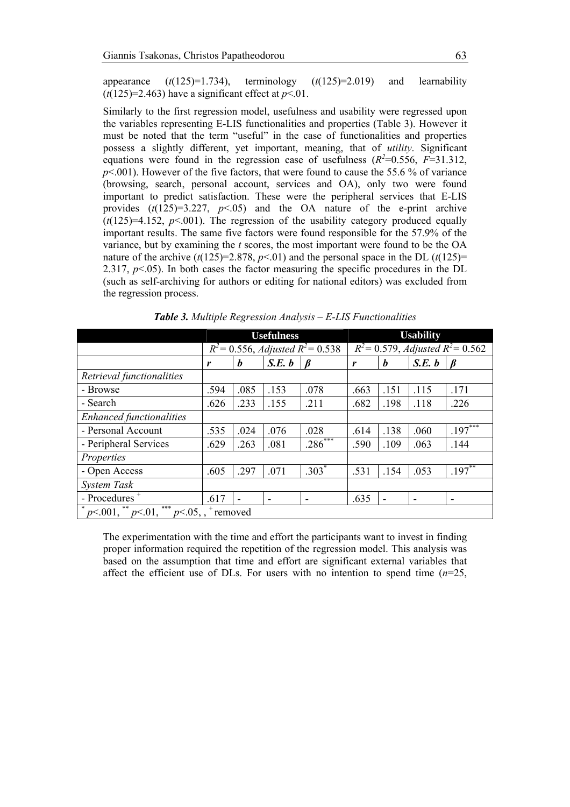appearance  $(t(125)=1.734)$ , terminology  $(t(125)=2.019)$  and learnability  $(t(125)=2.463)$  have a significant effect at  $p<01$ .

Similarly to the first regression model, usefulness and usability were regressed upon the variables representing E-LIS functionalities and properties (Table 3). However it must be noted that the term "useful" in the case of functionalities and properties possess a slightly different, yet important, meaning, that of *utility*. Significant equations were found in the regression case of usefulness  $(R^2=0.556, F=31.312,$ *p*<.001). However of the five factors, that were found to cause the 55.6 % of variance (browsing, search, personal account, services and OA), only two were found important to predict satisfaction. These were the peripheral services that E-LIS provides  $(t(125)=3.227, p<0.05)$  and the OA nature of the e-print archive  $(t(125)=4.152, p<0.01)$ . The regression of the usability category produced equally important results. The same five factors were found responsible for the 57.9% of the variance, but by examining the *t* scores, the most important were found to be the OA nature of the archive  $(t(125)=2.878, p<0.01)$  and the personal space in the DL  $(t(125)=$ 2.317,  $p<0.5$ ). In both cases the factor measuring the specific procedures in the DL (such as self-archiving for authors or editing for national editors) was excluded from the regression process.

|                                                            | <b>Usefulness</b>                            |                  |                          |           | <b>Usability</b>                              |      |        |           |
|------------------------------------------------------------|----------------------------------------------|------------------|--------------------------|-----------|-----------------------------------------------|------|--------|-----------|
|                                                            | $R^2$ = 0.556, <i>Adjusted</i> $R^2$ = 0.538 |                  |                          |           | $R^2 = 0.579$ , <i>Adjusted</i> $R^2 = 0.562$ |      |        |           |
|                                                            | r                                            | $\boldsymbol{b}$ | S.E. b                   |           | r                                             | h    | S.E. b | ß         |
| Retrieval functionalities                                  |                                              |                  |                          |           |                                               |      |        |           |
| - Browse                                                   | .594                                         | .085             | .153                     | .078      | .663                                          | .151 | .115   | .171      |
| - Search                                                   | .626                                         | .233             | .155                     | .211      | .682                                          | .198 | .118   | .226      |
| <b>Enhanced functionalities</b>                            |                                              |                  |                          |           |                                               |      |        |           |
| - Personal Account                                         | .535                                         | .024             | .076                     | .028      | .614                                          | .138 | .060   | $.197***$ |
| - Peripheral Services                                      | .629                                         | .263             | .081                     | $.286***$ | .590                                          | .109 | .063   | .144      |
| Properties                                                 |                                              |                  |                          |           |                                               |      |        |           |
| - Open Access                                              | .605                                         | .297             | .071                     | $.303*$   | .531                                          | .154 | .053   | $.197***$ |
| System Task                                                |                                              |                  |                          |           |                                               |      |        |           |
| - Procedures <sup>+</sup>                                  | .617                                         |                  | $\overline{\phantom{0}}$ |           | .635                                          |      | ٠      | ۰         |
| ***<br>**<br>$p<.001$ , $p<.01$ ,<br>$p<0.05$ ,<br>removed |                                              |                  |                          |           |                                               |      |        |           |

*Table 3. Multiple Regression Analysis – E-LIS Functionalities*

The experimentation with the time and effort the participants want to invest in finding proper information required the repetition of the regression model. This analysis was based on the assumption that time and effort are significant external variables that affect the efficient use of DLs. For users with no intention to spend time  $(n=25)$ ,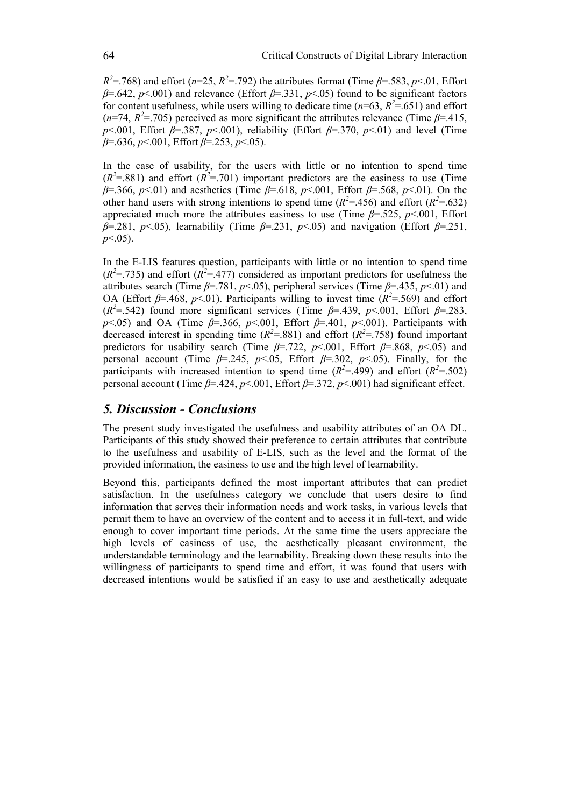$R^2 = 768$ ) and effort (*n*=25,  $R^2 = 792$ ) the attributes format (Time  $\beta = 583$ , *p*<.01, Effort *β*=.642, *p*<.001) and relevance (Effort *β*=.331, *p*<.05) found to be significant factors for content usefulness, while users willing to dedicate time ( $n=63$ ,  $R^2 = .651$ ) and effort  $(n=74, R^2=0.705)$  perceived as more significant the attributes relevance (Time  $\beta=415$ , *p* < 001, Effort *β* = .387, *p* < 001), reliability (Effort *β* = .370, *p* < 01) and level (Time *β*=.636, *p*<.001, Effort *β*=.253, *p*<.05).

In the case of usability, for the users with little or no intention to spend time  $(R<sup>2</sup>=.881)$  and effort  $(R<sup>2</sup>=.701)$  important predictors are the easiness to use (Time *β*=.366, *p*<.01) and aesthetics (Time *β*=.618, *p*<.001, Effort *β*=.568, *p*<.01). On the other hand users with strong intentions to spend time ( $R^2$ =.456) and effort ( $R^2$ =.632) appreciated much more the attributes easiness to use (Time *β*=.525, *p*<.001, Effort *β*=.281, *p*<.05), learnability (Time *β*=.231, *p*<.05) and navigation (Effort *β*=.251, *p*<.05).

In the E-LIS features question, participants with little or no intention to spend time  $(R^2 = .735)$  and effort  $(R^2 = .477)$  considered as important predictors for usefulness the attributes search (Time *β*=.781, *p*<.05), peripheral services (Time *β*=.435, *p*<.01) and OA (Effort  $\beta$ =.468,  $p$ <.01). Participants willing to invest time ( $R^2$ =.569) and effort ( $R^2$ =.542) found more significant services (Time  $\beta$ =.439,  $p$ <.001, Effort  $\beta$ =.283, *p* ≤ 05) and OA (Time *β*=.366, *p* ≤ 001, Effort *β*=.401, *p* ≤ 001). Participants with decreased interest in spending time  $(R^2 = .881)$  and effort  $(R^2 = .758)$  found important predictors for usability search (Time  $\beta$ =.722,  $p$ <.001, Effort  $\beta$ =.868,  $p$ <.05) and personal account (Time  $\beta$ =.245, *p*<.05, Effort  $\beta$ =.302, *p*<.05). Finally, for the participants with increased intention to spend time  $(R^2 = .499)$  and effort  $(R^2 = .502)$ personal account (Time *β*=.424, *p*<.001, Effort *β*=.372, *p*<.001) had significant effect.

# *5. Discussion - Conclusions*

The present study investigated the usefulness and usability attributes of an OA DL. Participants of this study showed their preference to certain attributes that contribute to the usefulness and usability of E-LIS, such as the level and the format of the provided information, the easiness to use and the high level of learnability.

Beyond this, participants defined the most important attributes that can predict satisfaction. In the usefulness category we conclude that users desire to find information that serves their information needs and work tasks, in various levels that permit them to have an overview of the content and to access it in full-text, and wide enough to cover important time periods. At the same time the users appreciate the high levels of easiness of use, the aesthetically pleasant environment, the understandable terminology and the learnability. Breaking down these results into the willingness of participants to spend time and effort, it was found that users with decreased intentions would be satisfied if an easy to use and aesthetically adequate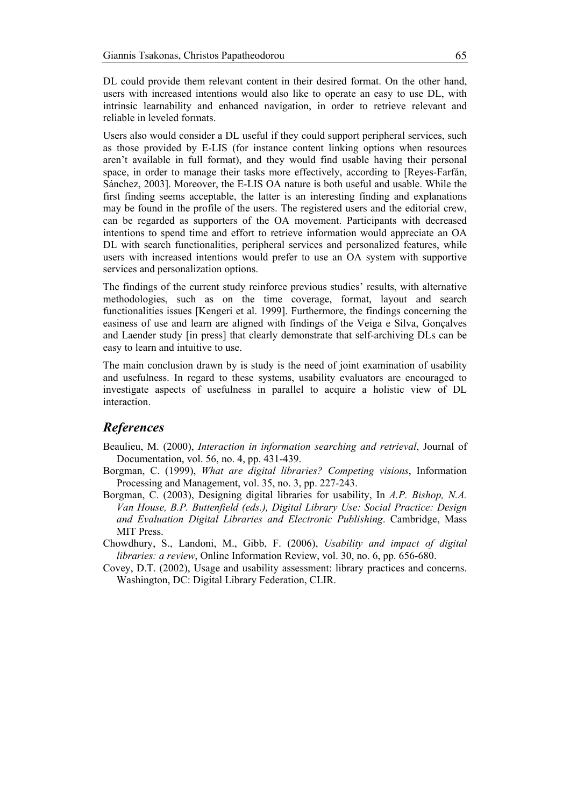DL could provide them relevant content in their desired format. On the other hand, users with increased intentions would also like to operate an easy to use DL, with intrinsic learnability and enhanced navigation, in order to retrieve relevant and reliable in leveled formats.

Users also would consider a DL useful if they could support peripheral services, such as those provided by E-LIS (for instance content linking options when resources aren't available in full format), and they would find usable having their personal space, in order to manage their tasks more effectively, according to [Reyes-Farfán, Sánchez, 2003]. Moreover, the E-LIS OA nature is both useful and usable. While the first finding seems acceptable, the latter is an interesting finding and explanations may be found in the profile of the users. The registered users and the editorial crew, can be regarded as supporters of the OA movement. Participants with decreased intentions to spend time and effort to retrieve information would appreciate an OA DL with search functionalities, peripheral services and personalized features, while users with increased intentions would prefer to use an OA system with supportive services and personalization options.

The findings of the current study reinforce previous studies' results, with alternative methodologies, such as on the time coverage, format, layout and search functionalities issues [Kengeri et al. 1999]. Furthermore, the findings concerning the easiness of use and learn are aligned with findings of the Veiga e Silva, Gonçalves and Laender study [in press] that clearly demonstrate that self-archiving DLs can be easy to learn and intuitive to use.

The main conclusion drawn by is study is the need of joint examination of usability and usefulness. In regard to these systems, usability evaluators are encouraged to investigate aspects of usefulness in parallel to acquire a holistic view of DL interaction.

# *References*

- Beaulieu, M. (2000), *Interaction in information searching and retrieval*, Journal of Documentation, vol. 56, no. 4, pp. 431-439.
- Borgman, C. (1999), *What are digital libraries? Competing visions*, Information Processing and Management, vol. 35, no. 3, pp. 227-243.
- Borgman, C. (2003), Designing digital libraries for usability, In *A.P. Bishop, N.A. Van House, B.P. Buttenfield (eds.), Digital Library Use: Social Practice: Design and Evaluation Digital Libraries and Electronic Publishing*. Cambridge, Mass MIT Press.
- Chowdhury, S., Landoni, M., Gibb, F. (2006), *Usability and impact of digital libraries: a review*, Online Information Review, vol. 30, no. 6, pp. 656-680.
- Covey, D.T. (2002), Usage and usability assessment: library practices and concerns. Washington, DC: Digital Library Federation, CLIR.